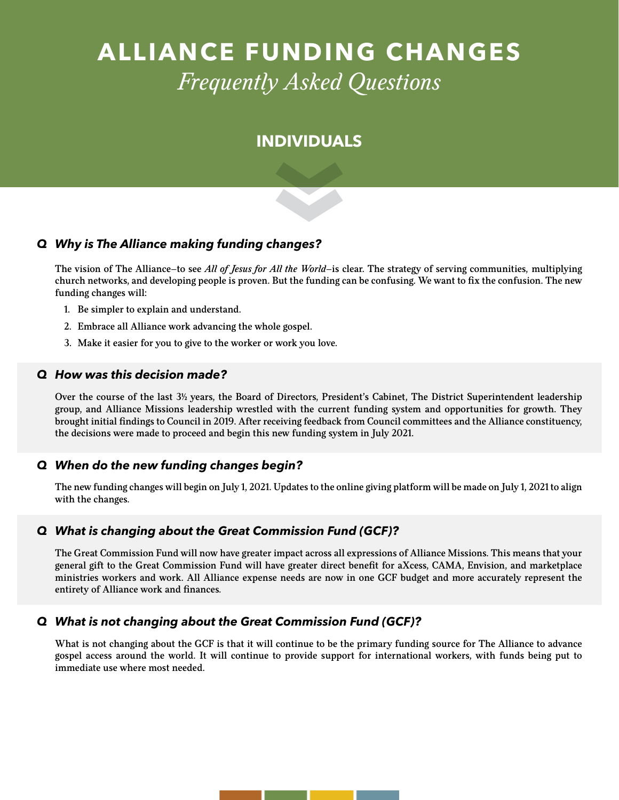# **ALLIANCE FUNDING CHANGES**  *Frequently Asked Questions*

# **INDIVIDUALS**

# *Q Why is The Alliance making funding changes?*

The vision of The Alliance—to see *All of Jesus for All the World*—is clear. The strategy of serving communities, multiplying church networks, and developing people is proven. But the funding can be confusing. We want to fix the confusion. The new funding changes will:

- 1. Be simpler to explain and understand.
- 2. Embrace all Alliance work advancing the whole gospel.
- 3. Make it easier for you to give to the worker or work you love.

#### *Q How was this decision made?*

Over the course of the last 3<sup>1</sup>/<sub>2</sub> years, the Board of Directors, President's Cabinet, The District Superintendent leadership group, and Alliance Missions leadership wrestled with the current funding system and opportunities for growth. They brought initial findings to Council in 2019. After receiving feedback from Council committees and the Alliance constituency, the decisions were made to proceed and begin this new funding system in July 2021.

#### *Q When do the new funding changes begin?*

The new funding changes will begin on July 1, 2021. Updates to the online giving platform will be made on July 1, 2021 to align with the changes.

#### *Q What is changing about the Great Commission Fund (GCF)?*

The Great Commission Fund will now have greater impact across all expressions of Alliance Missions. This means that your general gift to the Great Commission Fund will have greater direct benefit for aXcess, CAMA, Envision, and marketplace ministries workers and work. All Alliance expense needs are now in one GCF budget and more accurately represent the entirety of Alliance work and finances.

#### *Q What is not changing about the Great Commission Fund (GCF)?*

What is not changing about the GCF is that it will continue to be the primary funding source for The Alliance to advance gospel access around the world. It will continue to provide support for international workers, with funds being put to immediate use where most needed.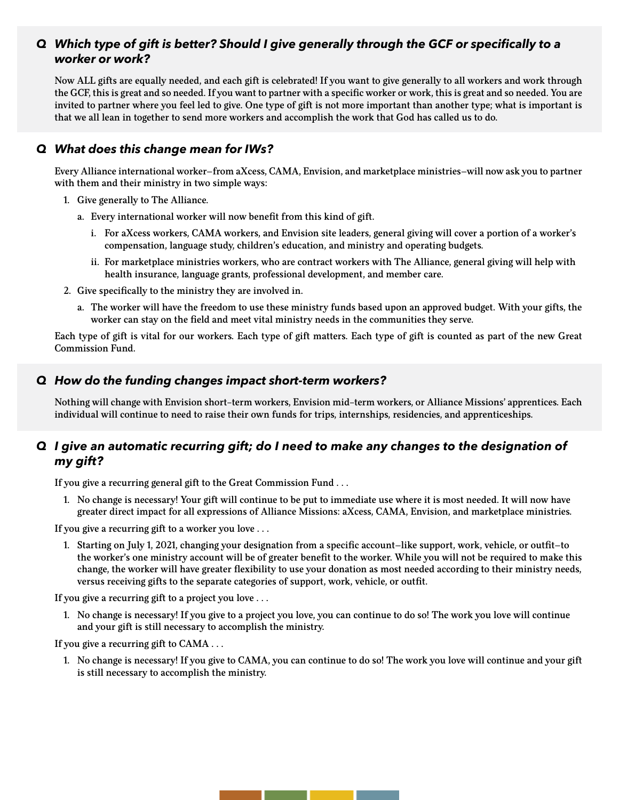# *Q Which type of gift is better? Should I give generally through the GCF or specifcally to a worker or work?*

Now ALL gifts are equally needed, and each gift is celebrated! If you want to give generally to all workers and work through the GCF, this is great and so needed. If you want to partner with a specific worker or work, this is great and so needed. You are invited to partner where you feel led to give. One type of gift is not more important than another type; what is important is that we all lean in together to send more workers and accomplish the work that God has called us to do.

# *Q What does this change mean for IWs?*

Every Alliance international worker—from aXcess, CAMA, Envision, and marketplace ministries—will now ask you to partner with them and their ministry in two simple ways:

- 1. Give generally to The Alliance.
	- a. Every international worker will now benefit from this kind of gift.
		- i. For aXcess workers, CAMA workers, and Envision site leaders, general giving will cover a portion of a worker's compensation, language study, children's education, and ministry and operating budgets.
		- ii. For marketplace ministries workers, who are contract workers with The Alliance, general giving will help with health insurance, language grants, professional development, and member care.
- 2. Give specifically to the ministry they are involved in.
	- a. The worker will have the freedom to use these ministry funds based upon an approved budget. With your gifts, the worker can stay on the field and meet vital ministry needs in the communities they serve.

Each type of gift is vital for our workers. Each type of gift matters. Each type of gift is counted as part of the new Great Commission Fund.

# *Q How do the funding changes impact short-term workers?*

Nothing will change with Envision short-term workers, Envision mid-term workers, or Alliance Missions' apprentices. Each individual will continue to need to raise their own funds for trips, internships, residencies, and apprenticeships.

# *Q I give an automatic recurring gift; do I need to make any changes to the designation of my gift?*

If you give a recurring general gift to the Great Commission Fund . . .

1. No change is necessary! Your gift will continue to be put to immediate use where it is most needed. It will now have greater direct impact for all expressions of Alliance Missions: aXcess, CAMA, Envision, and marketplace ministries.

If you give a recurring gift to a worker you love . . .

1. Starting on July 1, 2021, changing your designation from a specific account—like support, work, vehicle, or outfit—to the worker's one ministry account will be of greater benefit to the worker. While you will not be required to make this change, the worker will have greater flexibility to use your donation as most needed according to their ministry needs, versus receiving gifts to the separate categories of support, work, vehicle, or outfit.

If you give a recurring gift to a project you love . . .

1. No change is necessary! If you give to a project you love, you can continue to do so! The work you love will continue and your gift is still necessary to accomplish the ministry.

If you give a recurring gift to CAMA . . .

1. No change is necessary! If you give to CAMA, you can continue to do so! The work you love will continue and your gift is still necessary to accomplish the ministry.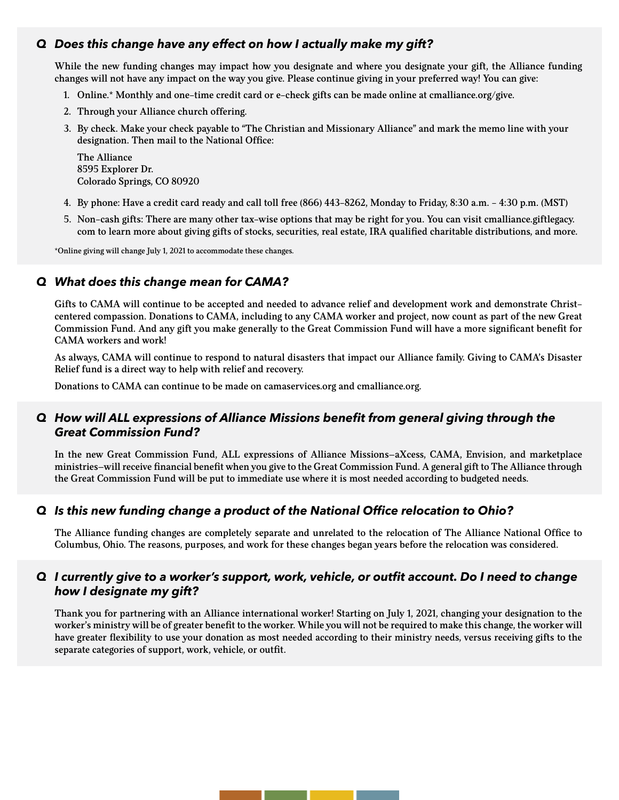# *Q Does this change have any effect on how I actually make my gift?*

While the new funding changes may impact how you designate and where you designate your gift, the Alliance funding changes will not have any impact on the way you give. Please continue giving in your preferred way! You can give:

- 1. Online.\* Monthly and one-time credit card or e-check gifts can be made online at cmalliance.org/give.
- 2. Through your Alliance church offering.
- 3. By check. Make your check payable to "The Christian and Missionary Alliance" and mark the memo line with your designation. Then mail to the National Office:

The Alliance 8595 Explorer Dr. Colorado Springs, CO 80920

- 4. By phone: Have a credit card ready and call toll free (866) 443-8262, Monday to Friday, 8:30 a.m. 4:30 p.m. (MST)
- 5. Non-cash gifts: There are many other tax-wise options that may be right for you. You can visit cmalliance.giftlegacy. com to learn more about giving gifts of stocks, securities, real estate, IRA qualified charitable distributions, and more.

\*Online giving will change July 1, 2021 to accommodate these changes.

### *Q What does this change mean for CAMA?*

Gifts to CAMA will continue to be accepted and needed to advance relief and development work and demonstrate Christcentered compassion. Donations to CAMA, including to any CAMA worker and project, now count as part of the new Great Commission Fund. And any gift you make generally to the Great Commission Fund will have a more significant benefit for CAMA workers and work!

As always, CAMA will continue to respond to natural disasters that impact our Alliance family. Giving to CAMA's Disaster Relief fund is a direct way to help with relief and recovery.

Donations to CAMA can continue to be made on camaservices.org and cmalliance.org.

#### *Q How will ALL expressions of Alliance Missions beneft from general giving through the Great Commission Fund?*

In the new Great Commission Fund, ALL expressions of Alliance Missions—aXcess, CAMA, Envision, and marketplace ministries—will receive financial benefit when you give to the Great Commission Fund. A general gift to The Alliance through the Great Commission Fund will be put to immediate use where it is most needed according to budgeted needs.

#### *Q Is this new funding change a product of the National Offce relocation to Ohio?*

The Alliance funding changes are completely separate and unrelated to the relocation of The Alliance National Office to Columbus, Ohio. The reasons, purposes, and work for these changes began years before the relocation was considered.

#### *Q I currently give to a worker's support, work, vehicle, or outft account. Do I need to change how I designate my gift?*

Thank you for partnering with an Alliance international worker! Starting on July 1, 2021, changing your designation to the worker's ministry will be of greater benefit to the worker. While you will not be required to make this change, the worker will have greater flexibility to use your donation as most needed according to their ministry needs, versus receiving gifts to the separate categories of support, work, vehicle, or outfit.